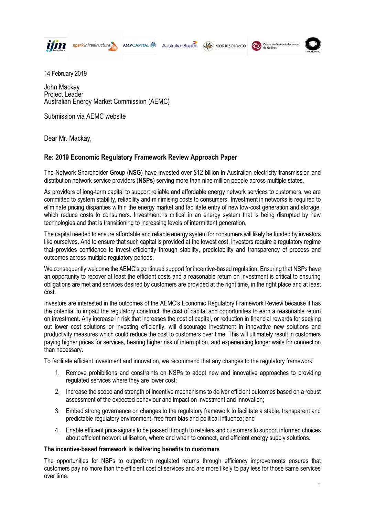

sparkinfrastructure **AMPCAPITAL ※** 

AustralianSuper

Caisse de dépôt et placement MORRISON&CO



14 February 2019

John Mackay Project Leader Australian Energy Market Commission (AEMC)

Submission via AEMC website

Dear Mr. Mackay,

# **Re: 2019 Economic Regulatory Framework Review Approach Paper**

The Network Shareholder Group (**NSG**) have invested over \$12 billion in Australian electricity transmission and distribution network service providers (**NSPs**) serving more than nine million people across multiple states.

As providers of long-term capital to support reliable and affordable energy network services to customers, we are committed to system stability, reliability and minimising costs to consumers. Investment in networks is required to eliminate pricing disparities within the energy market and facilitate entry of new low-cost generation and storage, which reduce costs to consumers. Investment is critical in an energy system that is being disrupted by new technologies and that is transitioning to increasing levels of intermittent generation.

The capital needed to ensure affordable and reliable energy system for consumers will likely be funded by investors like ourselves. And to ensure that such capital is provided at the lowest cost, investors require a regulatory regime that provides confidence to invest efficiently through stability, predictability and transparency of process and outcomes across multiple regulatory periods.

We consequently welcome the AEMC's continued support for incentive-based regulation. Ensuring that NSPs have an opportunity to recover at least the efficient costs and a reasonable return on investment is critical to ensuring obligations are met and services desired by customers are provided at the right time, in the right place and at least cost.

Investors are interested in the outcomes of the AEMC's Economic Regulatory Framework Review because it has the potential to impact the regulatory construct, the cost of capital and opportunities to earn a reasonable return on investment. Any increase in risk that increases the cost of capital, or reduction in financial rewards for seeking out lower cost solutions or investing efficiently, will discourage investment in innovative new solutions and productivity measures which could reduce the cost to customers over time. This will ultimately result in customers paying higher prices for services, bearing higher risk of interruption, and experiencing longer waits for connection than necessary.

To facilitate efficient investment and innovation, we recommend that any changes to the regulatory framework:

- 1. Remove prohibitions and constraints on NSPs to adopt new and innovative approaches to providing regulated services where they are lower cost;
- 2. Increase the scope and strength of incentive mechanisms to deliver efficient outcomes based on a robust assessment of the expected behaviour and impact on investment and innovation;
- 3. Embed strong governance on changes to the regulatory framework to facilitate a stable, transparent and predictable regulatory environment, free from bias and political influence; and
- 4. Enable efficient price signals to be passed through to retailers and customers to support informed choices about efficient network utilisation, where and when to connect, and efficient energy supply solutions.

# **The incentive-based framework is delivering benefits to customers**

The opportunities for NSPs to outperform regulated returns through efficiency improvements ensures that customers pay no more than the efficient cost of services and are more likely to pay less for those same services over time.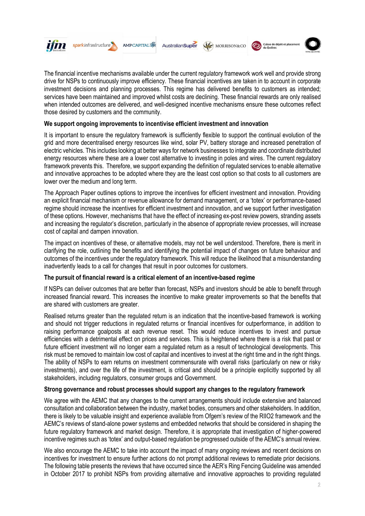

sparkinfrastructure **AMPCAPITAL ※** 





 $\odot$ 

The financial incentive mechanisms available under the current regulatory framework work well and provide strong drive for NSPs to continuously improve efficiency. These financial incentives are taken in to account in corporate investment decisions and planning processes. This regime has delivered benefits to customers as intended; services have been maintained and improved whilst costs are declining. These financial rewards are only realised when intended outcomes are delivered, and well-designed incentive mechanisms ensure these outcomes reflect those desired by customers and the community.

### **We support ongoing improvements to incentivise efficient investment and innovation**

It is important to ensure the regulatory framework is sufficiently flexible to support the continual evolution of the grid and more decentralised energy resources like wind, solar PV, battery storage and increased penetration of electric vehicles. This includes looking at better ways for network businesses to integrate and coordinate distributed energy resources where these are a lower cost alternative to investing in poles and wires. The current regulatory framework prevents this. Therefore, we support expanding the definition of regulated services to enable alternative and innovative approaches to be adopted where they are the least cost option so that costs to all customers are lower over the medium and long term.

The Approach Paper outlines options to improve the incentives for efficient investment and innovation. Providing an explicit financial mechanism or revenue allowance for demand management, or a 'totex' or performance-based regime should increase the incentives for efficient investment and innovation, and we support further investigation of these options. However, mechanisms that have the effect of increasing ex-post review powers, stranding assets and increasing the regulator's discretion, particularly in the absence of appropriate review processes, will increase cost of capital and dampen innovation.

The impact on incentives of these, or alternative models, may not be well understood. Therefore, there is merit in clarifying the role, outlining the benefits and identifying the potential impact of changes on future behaviour and outcomes of the incentives under the regulatory framework. This will reduce the likelihood that a misunderstanding inadvertently leads to a call for changes that result in poor outcomes for customers.

#### **The pursuit of financial reward is a critical element of an incentive-based regime**

If NSPs can deliver outcomes that are better than forecast, NSPs and investors should be able to benefit through increased financial reward. This increases the incentive to make greater improvements so that the benefits that are shared with customers are greater.

Realised returns greater than the regulated return is an indication that the incentive-based framework is working and should not trigger reductions in regulated returns or financial incentives for outperformance, in addition to raising performance goalposts at each revenue reset. This would reduce incentives to invest and pursue efficiencies with a detrimental effect on prices and services. This is heightened where there is a risk that past or future efficient investment will no longer earn a regulated return as a result of technological developments. This risk must be removed to maintain low cost of capital and incentives to invest at the right time and in the right things. The ability of NSPs to earn returns on investment commensurate with overall risks (particularly on new or risky investments), and over the life of the investment, is critical and should be a principle explicitly supported by all stakeholders, including regulators, consumer groups and Government.

# **Strong governance and robust processes should support any changes to the regulatory framework**

We agree with the AEMC that any changes to the current arrangements should include extensive and balanced consultation and collaboration between the industry, market bodies, consumers and other stakeholders. In addition, there is likely to be valuable insight and experience available from Ofgem's review of the RIIO2 framework and the AEMC's reviews of stand-alone power systems and embedded networks that should be considered in shaping the future regulatory framework and market design. Therefore, it is appropriate that investigation of higher-powered incentive regimes such as 'totex' and output-based regulation be progressed outside of the AEMC's annual review.

We also encourage the AEMC to take into account the impact of many ongoing reviews and recent decisions on incentives for investment to ensure further actions do not prompt additional reviews to remediate prior decisions. The following table presents the reviews that have occurred since the AER's Ring Fencing Guideline was amended in October 2017 to prohibit NSPs from providing alternative and innovative approaches to providing regulated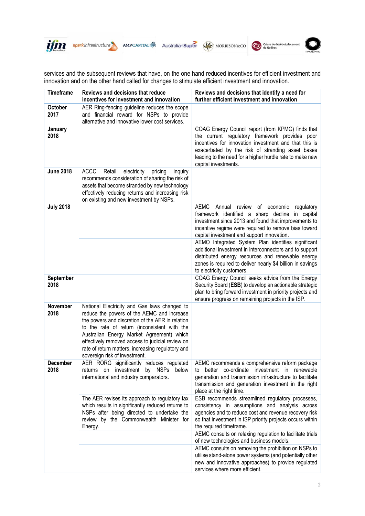

sparkinfrastructure

AMPCAPITAL K AustralianSuper





services and the subsequent reviews that have, on the one hand reduced incentives for efficient investment and innovation and on the other hand called for changes to stimulate efficient investment and innovation.

| <b>Timeframe</b>        | Reviews and decisions that reduce                                                                                                                                                                                                                                                                                                                                                     | Reviews and decisions that identify a need for                                                                                                                                                                                                                                                       |
|-------------------------|---------------------------------------------------------------------------------------------------------------------------------------------------------------------------------------------------------------------------------------------------------------------------------------------------------------------------------------------------------------------------------------|------------------------------------------------------------------------------------------------------------------------------------------------------------------------------------------------------------------------------------------------------------------------------------------------------|
|                         | incentives for investment and innovation                                                                                                                                                                                                                                                                                                                                              | further efficient investment and innovation                                                                                                                                                                                                                                                          |
| <b>October</b><br>2017  | AER Ring-fencing guideline reduces the scope<br>and financial reward for NSPs to provide<br>alternative and innovative lower cost services.                                                                                                                                                                                                                                           |                                                                                                                                                                                                                                                                                                      |
| January<br>2018         |                                                                                                                                                                                                                                                                                                                                                                                       | COAG Energy Council report (from KPMG) finds that<br>the current regulatory framework provides poor<br>incentives for innovation investment and that this is<br>exacerbated by the risk of stranding asset bases<br>leading to the need for a higher hurdle rate to make new<br>capital investments. |
| <b>June 2018</b>        | <b>ACCC</b><br>Retail<br>electricity<br>pricing<br>inquiry<br>recommends consideration of sharing the risk of<br>assets that become stranded by new technology<br>effectively reducing returns and increasing risk<br>on existing and new investment by NSPs.                                                                                                                         |                                                                                                                                                                                                                                                                                                      |
| <b>July 2018</b>        |                                                                                                                                                                                                                                                                                                                                                                                       | <b>AEMC</b><br>Annual review<br>οf<br>economic<br>regulatory<br>framework identified a sharp decline in capital<br>investment since 2013 and found that improvements to<br>incentive regime were required to remove bias toward<br>capital investment and support innovation.                        |
|                         |                                                                                                                                                                                                                                                                                                                                                                                       | AEMO Integrated System Plan identifies significant<br>additional investment in interconnectors and to support<br>distributed energy resources and renewable energy<br>zones is required to deliver nearly \$4 billion in savings<br>to electricity customers.                                        |
| September<br>2018       |                                                                                                                                                                                                                                                                                                                                                                                       | COAG Energy Council seeks advice from the Energy<br>Security Board (ESB) to develop an actionable strategic<br>plan to bring forward investment in priority projects and<br>ensure progress on remaining projects in the ISP.                                                                        |
| November<br>2018        | National Electricity and Gas laws changed to<br>reduce the powers of the AEMC and increase<br>the powers and discretion of the AER in relation<br>to the rate of return (inconsistent with the<br>Australian Energy Market Agreement) which<br>effectively removed access to judicial review on<br>rate of return matters, increasing regulatory and<br>sovereign risk of investment. |                                                                                                                                                                                                                                                                                                      |
| <b>December</b><br>2018 | AER RORG significantly reduces regulated<br>returns on investment by NSPs below<br>international and industry comparators.                                                                                                                                                                                                                                                            | AEMC recommends a comprehensive reform package<br>to better co-ordinate investment in renewable<br>generation and transmission infrastructure to facilitate<br>transmission and generation investment in the right<br>place at the right time.                                                       |
|                         | The AER revises its approach to regulatory tax<br>which results in significantly reduced returns to<br>NSPs after being directed to undertake the<br>review by the Commonwealth Minister for<br>Energy.                                                                                                                                                                               | ESB recommends streamlined regulatory processes,<br>consistency in assumptions and analysis across<br>agencies and to reduce cost and revenue recovery risk<br>so that investment in ISP priority projects occurs within<br>the required timeframe.                                                  |
|                         |                                                                                                                                                                                                                                                                                                                                                                                       | AEMC consults on relaxing regulation to facilitate trials<br>of new technologies and business models.<br>AEMC consults on removing the prohibition on NSPs to                                                                                                                                        |
|                         |                                                                                                                                                                                                                                                                                                                                                                                       | utilise stand-alone power systems (and potentially other<br>new and innovative approaches) to provide regulated<br>services where more efficient.                                                                                                                                                    |